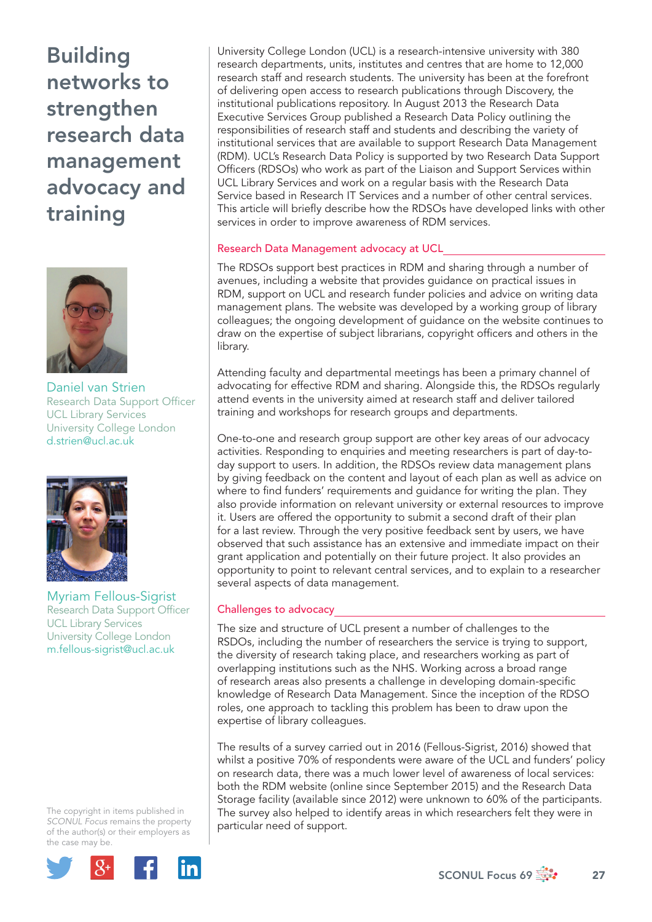Building networks to strengthen research data management advocacy and training



Daniel van Strien Research Data Support Officer UCL Library Services University College London d.strien@ucl.ac.uk



Myriam Fellous-Sigrist Research Data Support Officer UCL Library Services University College London m.fellous-sigrist@ucl.ac.uk

The copyright in items published in *SCONUL Focus* remains the property of the author(s) or their employers as the case may be.



University College London (UCL) is a research-intensive university with 380 research departments, units, institutes and centres that are home to 12,000 research staff and research students. The university has been at the forefront of delivering open access to research publications through Discovery, the institutional publications repository. In August 2013 the Research Data Executive Services Group published a Research Data Policy outlining the responsibilities of research staff and students and describing the variety of institutional services that are available to support Research Data Management (RDM). UCL's Research Data Policy is supported by two Research Data Support Officers (RDSOs) who work as part of the Liaison and Support Services within UCL Library Services and work on a regular basis with the Research Data Service based in Research IT Services and a number of other central services. This article will briefly describe how the RDSOs have developed links with other services in order to improve awareness of RDM services.

# Research Data Management advocacy at UCL

The RDSOs support best practices in RDM and sharing through a number of avenues, including a website that provides guidance on practical issues in RDM, support on UCL and research funder policies and advice on writing data management plans. The website was developed by a working group of library colleagues; the ongoing development of guidance on the website continues to draw on the expertise of subject librarians, copyright officers and others in the library.

Attending faculty and departmental meetings has been a primary channel of advocating for effective RDM and sharing. Alongside this, the RDSOs regularly attend events in the university aimed at research staff and deliver tailored training and workshops for research groups and departments.

One-to-one and research group support are other key areas of our advocacy activities. Responding to enquiries and meeting researchers is part of day-today support to users. In addition, the RDSOs review data management plans by giving feedback on the content and layout of each plan as well as advice on where to find funders' requirements and guidance for writing the plan. They also provide information on relevant university or external resources to improve it. Users are offered the opportunity to submit a second draft of their plan for a last review. Through the very positive feedback sent by users, we have observed that such assistance has an extensive and immediate impact on their grant application and potentially on their future project. It also provides an opportunity to point to relevant central services, and to explain to a researcher several aspects of data management.

# Challenges to advocacy

The size and structure of UCL present a number of challenges to the RSDOs, including the number of researchers the service is trying to support, the diversity of research taking place, and researchers working as part of overlapping institutions such as the NHS. Working across a broad range of research areas also presents a challenge in developing domain-specific knowledge of Research Data Management. Since the inception of the RDSO roles, one approach to tackling this problem has been to draw upon the expertise of library colleagues.

The results of a survey carried out in 2016 (Fellous-Sigrist, 2016) showed that whilst a positive 70% of respondents were aware of the UCL and funders' policy on research data, there was a much lower level of awareness of local services: both the RDM website (online since September 2015) and the Research Data Storage facility (available since 2012) were unknown to 60% of the participants. The survey also helped to identify areas in which researchers felt they were in particular need of support.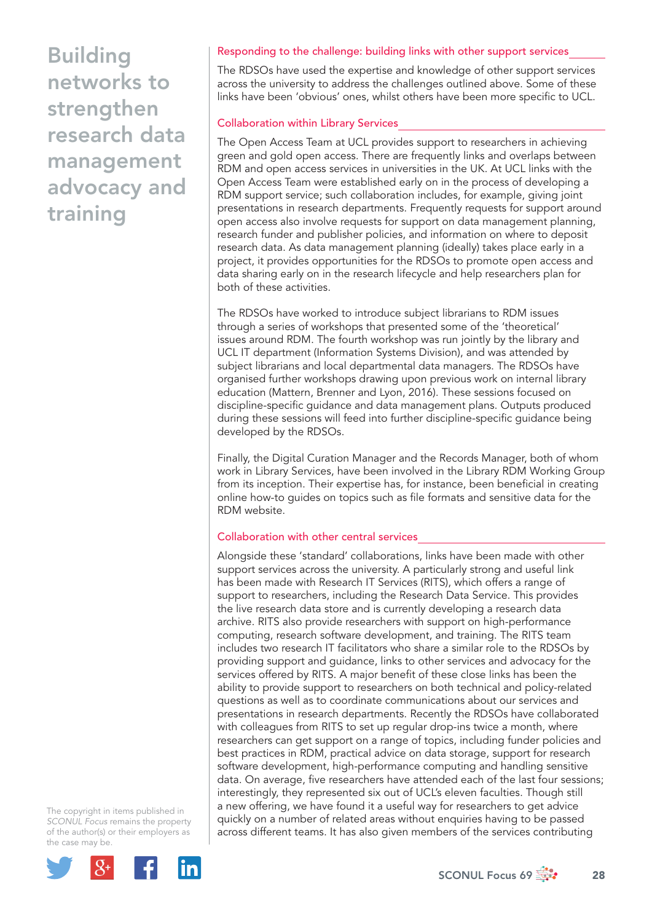Building networks to strengthen research data management advocacy and training

## Responding to the challenge: building links with other support services

The RDSOs have used the expertise and knowledge of other support services across the university to address the challenges outlined above. Some of these links have been 'obvious' ones, whilst others have been more specific to UCL.

### Collaboration within Library Services

The Open Access Team at UCL provides support to researchers in achieving green and gold open access. There are frequently links and overlaps between RDM and open access services in universities in the UK. At UCL links with the Open Access Team were established early on in the process of developing a RDM support service; such collaboration includes, for example, giving joint presentations in research departments. Frequently requests for support around open access also involve requests for support on data management planning, research funder and publisher policies, and information on where to deposit research data. As data management planning (ideally) takes place early in a project, it provides opportunities for the RDSOs to promote open access and data sharing early on in the research lifecycle and help researchers plan for both of these activities.

The RDSOs have worked to introduce subject librarians to RDM issues through a series of workshops that presented some of the 'theoretical' issues around RDM. The fourth workshop was run jointly by the library and UCL IT department (Information Systems Division), and was attended by subject librarians and local departmental data managers. The RDSOs have organised further workshops drawing upon previous work on internal library education (Mattern, Brenner and Lyon, 2016). These sessions focused on discipline-specific guidance and data management plans. Outputs produced during these sessions will feed into further discipline-specific guidance being developed by the RDSOs.

Finally, the Digital Curation Manager and the Records Manager, both of whom work in Library Services, have been involved in the Library RDM Working Group from its inception. Their expertise has, for instance, been beneficial in creating online how-to guides on topics such as file formats and sensitive data for the RDM website.

#### Collaboration with other central services

Alongside these 'standard' collaborations, links have been made with other support services across the university. A particularly strong and useful link has been made with Research IT Services (RITS), which offers a range of support to researchers, including the Research Data Service. This provides the live research data store and is currently developing a research data archive. RITS also provide researchers with support on high-performance computing, research software development, and training. The RITS team includes two research IT facilitators who share a similar role to the RDSOs by providing support and guidance, links to other services and advocacy for the services offered by RITS. A major benefit of these close links has been the ability to provide support to researchers on both technical and policy-related questions as well as to coordinate communications about our services and presentations in research departments. Recently the RDSOs have collaborated with colleagues from RITS to set up regular drop-ins twice a month, where researchers can get support on a range of topics, including funder policies and best practices in RDM, practical advice on data storage, support for research software development, high-performance computing and handling sensitive data. On average, five researchers have attended each of the last four sessions; interestingly, they represented six out of UCL's eleven faculties. Though still a new offering, we have found it a useful way for researchers to get advice quickly on a number of related areas without enquiries having to be passed across different teams. It has also given members of the services contributing

The copyright in items published in *SCONUL Focus* remains the property of the author(s) or their employers as the case may be.